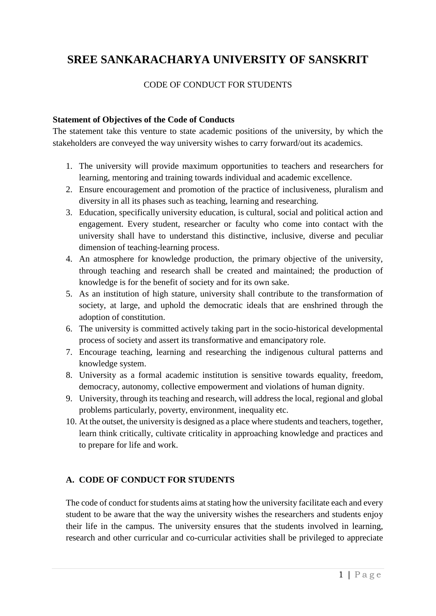# **SREE SANKARACHARYA UNIVERSITY OF SANSKRIT**

#### CODE OF CONDUCT FOR STUDENTS

#### **Statement of Objectives of the Code of Conducts**

The statement take this venture to state academic positions of the university, by which the stakeholders are conveyed the way university wishes to carry forward/out its academics.

- 1. The university will provide maximum opportunities to teachers and researchers for learning, mentoring and training towards individual and academic excellence.
- 2. Ensure encouragement and promotion of the practice of inclusiveness, pluralism and diversity in all its phases such as teaching, learning and researching.
- 3. Education, specifically university education, is cultural, social and political action and engagement. Every student, researcher or faculty who come into contact with the university shall have to understand this distinctive, inclusive, diverse and peculiar dimension of teaching-learning process.
- 4. An atmosphere for knowledge production, the primary objective of the university, through teaching and research shall be created and maintained; the production of knowledge is for the benefit of society and for its own sake.
- 5. As an institution of high stature, university shall contribute to the transformation of society, at large, and uphold the democratic ideals that are enshrined through the adoption of constitution.
- 6. The university is committed actively taking part in the socio-historical developmental process of society and assert its transformative and emancipatory role.
- 7. Encourage teaching, learning and researching the indigenous cultural patterns and knowledge system.
- 8. University as a formal academic institution is sensitive towards equality, freedom, democracy, autonomy, collective empowerment and violations of human dignity.
- 9. University, through its teaching and research, will address the local, regional and global problems particularly, poverty, environment, inequality etc.
- 10. At the outset, the university is designed as a place where students and teachers, together, learn think critically, cultivate criticality in approaching knowledge and practices and to prepare for life and work.

#### **A. CODE OF CONDUCT FOR STUDENTS**

The code of conduct for students aims at stating how the university facilitate each and every student to be aware that the way the university wishes the researchers and students enjoy their life in the campus. The university ensures that the students involved in learning, research and other curricular and co-curricular activities shall be privileged to appreciate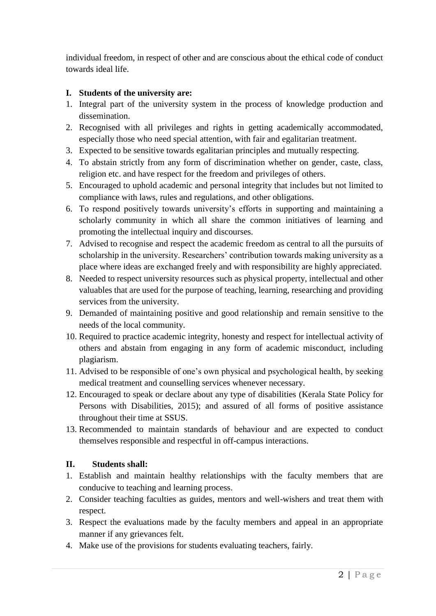individual freedom, in respect of other and are conscious about the ethical code of conduct towards ideal life.

### **I. Students of the university are:**

- 1. Integral part of the university system in the process of knowledge production and dissemination.
- 2. Recognised with all privileges and rights in getting academically accommodated, especially those who need special attention, with fair and egalitarian treatment.
- 3. Expected to be sensitive towards egalitarian principles and mutually respecting.
- 4. To abstain strictly from any form of discrimination whether on gender, caste, class, religion etc. and have respect for the freedom and privileges of others.
- 5. Encouraged to uphold academic and personal integrity that includes but not limited to compliance with laws, rules and regulations, and other obligations.
- 6. To respond positively towards university's efforts in supporting and maintaining a scholarly community in which all share the common initiatives of learning and promoting the intellectual inquiry and discourses.
- 7. Advised to recognise and respect the academic freedom as central to all the pursuits of scholarship in the university. Researchers' contribution towards making university as a place where ideas are exchanged freely and with responsibility are highly appreciated.
- 8. Needed to respect university resources such as physical property, intellectual and other valuables that are used for the purpose of teaching, learning, researching and providing services from the university.
- 9. Demanded of maintaining positive and good relationship and remain sensitive to the needs of the local community.
- 10. Required to practice academic integrity, honesty and respect for intellectual activity of others and abstain from engaging in any form of academic misconduct, including plagiarism.
- 11. Advised to be responsible of one's own physical and psychological health, by seeking medical treatment and counselling services whenever necessary.
- 12. Encouraged to speak or declare about any type of disabilities (Kerala State Policy for Persons with Disabilities, 2015); and assured of all forms of positive assistance throughout their time at SSUS.
- 13. Recommended to maintain standards of behaviour and are expected to conduct themselves responsible and respectful in off-campus interactions.

## **II. Students shall:**

- 1. Establish and maintain healthy relationships with the faculty members that are conducive to teaching and learning process.
- 2. Consider teaching faculties as guides, mentors and well-wishers and treat them with respect.
- 3. Respect the evaluations made by the faculty members and appeal in an appropriate manner if any grievances felt.
- 4. Make use of the provisions for students evaluating teachers, fairly.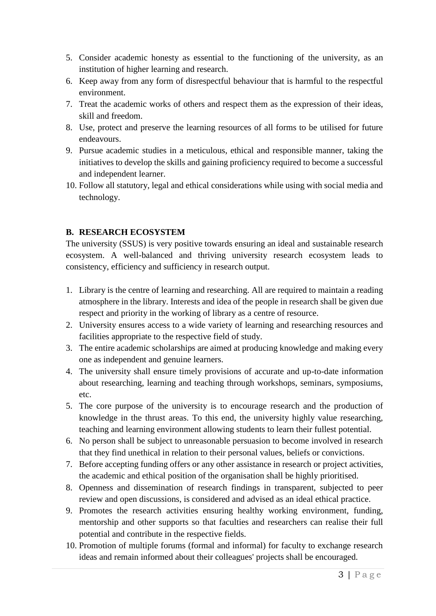- 5. Consider academic honesty as essential to the functioning of the university, as an institution of higher learning and research.
- 6. Keep away from any form of disrespectful behaviour that is harmful to the respectful environment.
- 7. Treat the academic works of others and respect them as the expression of their ideas, skill and freedom.
- 8. Use, protect and preserve the learning resources of all forms to be utilised for future endeavours.
- 9. Pursue academic studies in a meticulous, ethical and responsible manner, taking the initiatives to develop the skills and gaining proficiency required to become a successful and independent learner.
- 10. Follow all statutory, legal and ethical considerations while using with social media and technology.

#### **B. RESEARCH ECOSYSTEM**

The university (SSUS) is very positive towards ensuring an ideal and sustainable research ecosystem. A well-balanced and thriving university research ecosystem leads to consistency, efficiency and sufficiency in research output.

- 1. Library is the centre of learning and researching. All are required to maintain a reading atmosphere in the library. Interests and idea of the people in research shall be given due respect and priority in the working of library as a centre of resource.
- 2. University ensures access to a wide variety of learning and researching resources and facilities appropriate to the respective field of study.
- 3. The entire academic scholarships are aimed at producing knowledge and making every one as independent and genuine learners.
- 4. The university shall ensure timely provisions of accurate and up-to-date information about researching, learning and teaching through workshops, seminars, symposiums, etc.
- 5. The core purpose of the university is to encourage research and the production of knowledge in the thrust areas. To this end, the university highly value researching, teaching and learning environment allowing students to learn their fullest potential.
- 6. No person shall be subject to unreasonable persuasion to become involved in research that they find unethical in relation to their personal values, beliefs or convictions.
- 7. Before accepting funding offers or any other assistance in research or project activities, the academic and ethical position of the organisation shall be highly prioritised.
- 8. Openness and dissemination of research findings in transparent, subjected to peer review and open discussions, is considered and advised as an ideal ethical practice.
- 9. Promotes the research activities ensuring healthy working environment, funding, mentorship and other supports so that faculties and researchers can realise their full potential and contribute in the respective fields.
- 10. Promotion of multiple forums (formal and informal) for faculty to exchange research ideas and remain informed about their colleagues' projects shall be encouraged.